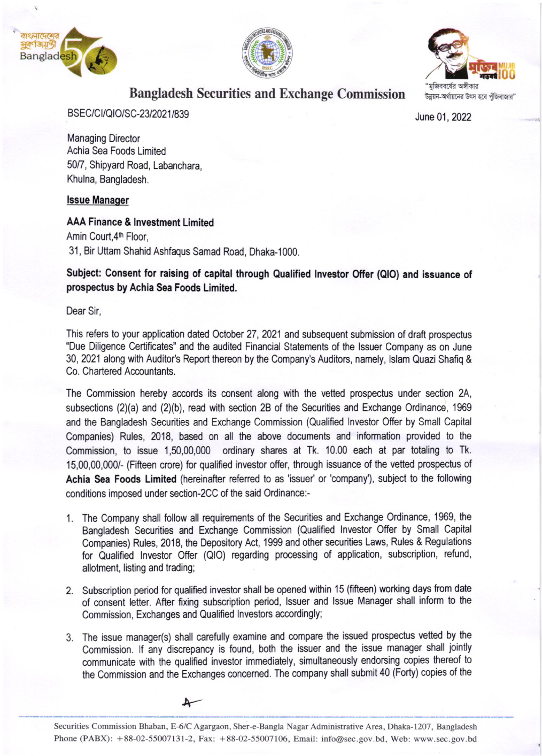





# Bangladesh Securities and Exchange Commission

BSEC/CI/QIO/SC-23/2021/839 June 01, 2022

Managing Director Achia Sea Foods Limited 50/7, Shipyard Road, Labanchara, Khulna, Bangladesh.

#### lssue Manaqer

#### AAA Finance & Investment Limited

Amin Court, 4<sup>th</sup> Floor, 31 , Bir Uftam Shahid Ashfaqus Samad Road, Dhaka-1000.

### Subject: Consent for raising of capital through Qualified lnyestor Offer (QlO) and issuance of prospectus by Achia Sea Foods Limited.

Dear Sir,

This refers to your application dated October 27, 2021 and subsequent submission of draft prospectus 'Due Diligence Certificates" and the audited Financial Statements of the lssuer Company as on June 30, 2021 along with Auditor's Report thereon by the Company's Auditors, namely, Islam Quazi Shafiq & Co. Chartered Accountants.

The Commission hereby accords its consent along with the vetted prospectus under section 2A, subsections (2)(a) and (2)(b), read with section 28 of the Securities and Exchange Ordinance, 1969 and the Bangladesh Securities and Exchange Commission (Qualified lnvestor Offer by Small Capital Companies) Rules, 2018, based on all the above documents and information provided to the Commission, to issue 1,50,00,000 ordinary shares at Tk. 10.00 each at par totaling to Tk. 15,00,00,000/- (Fifteen crore) for qualified investor offer, through issuance of the vetted prospeclus of Achia Sea Foods Limited (hereinafter referred to as 'issuer' or 'company'), subject to the following conditions imposed under section-2CC of the said Ordinance:-

- '1. The Company shall follow all requirements of the Securities and Exchange Ordinance, 1969, the Bangladesh Securities and Exchange Commission (Qualified lnvestor Offer by Small Capital Companies) Rules, 2018, the Depository Act, 1999 and other securities Laws, Rules & Regulations for Qualified lnvestor Offer (QlO) regarding processing of application, subscription, refund, allotment, listing and trading;
- 2. Subscription period for qualified investor shall be opened within 15 (fifteen) working days from date of consent letter. After fixing subscription period, lssuer and lssue Manager shall inform to the Commission, Exchanges and Qualified Investors accordingly;
- 3. The issue manager(s) shall carefully examine and compare the issued prospectus vetted by the Commission. If any discrepancy is found, both the issuer and the issue manager shall jointly communicate with he qualified investor immediately, simultaneously endorsing copies thereof to the Commission and the Exchanges concemed. The company shall submit 40 (Forty) copies of the



Securities Commission Bhaban, E-6/C Agargaon, Sher-e-Bangla Nagar Administrative Area, Dhaka-1207, Bangladesh Phone (PABX): + 88-02-55007131-2, Fax: + 88-O2-55007106. Email: info@sec.gov.bd, Web: www.sec.gov.bd